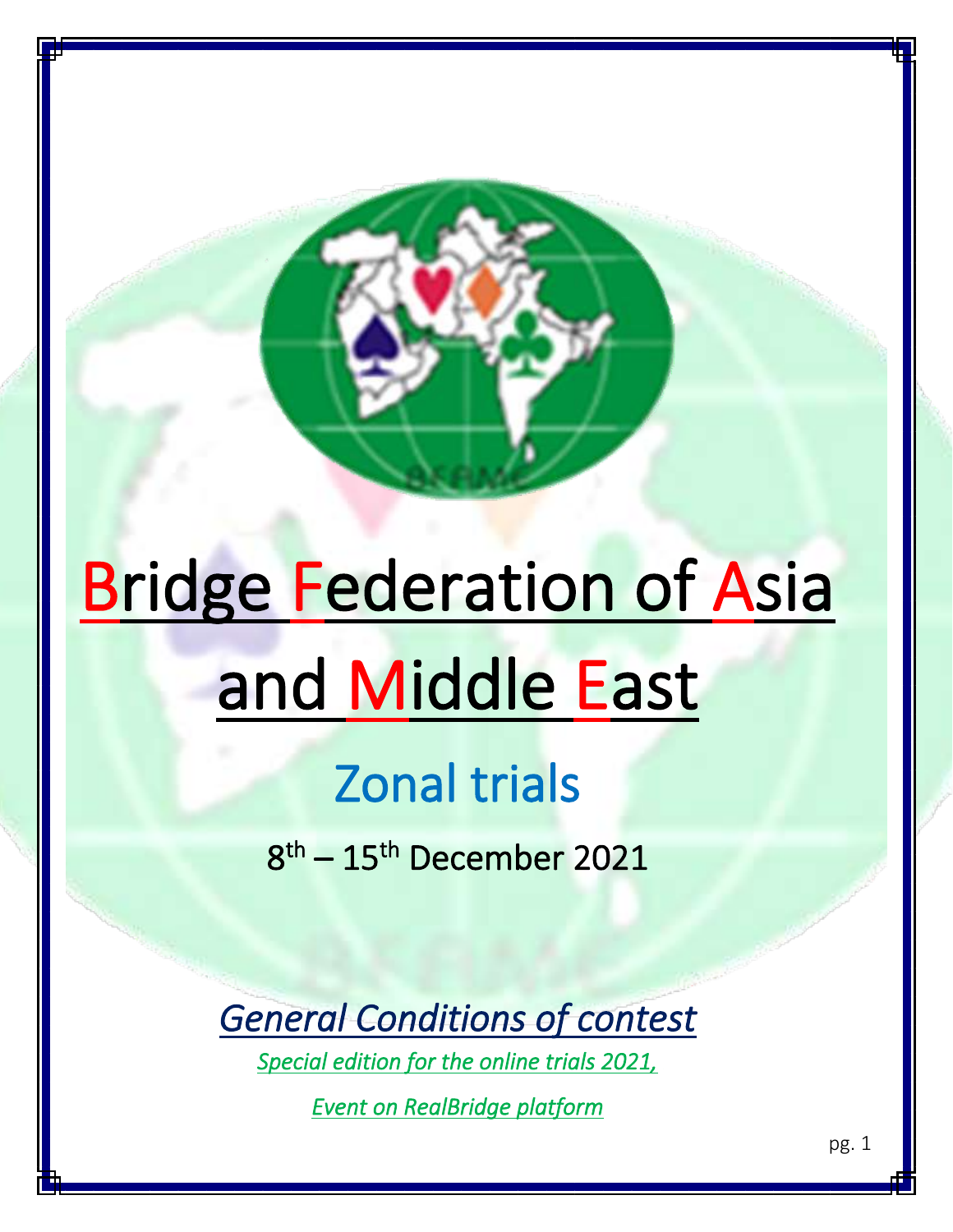# **Bridge Federation of Asia** and Middle East

ł

# Zonal trials

8 th – 15th December 2021

*General Conditions of contest* 

*Special edition for the online trials 2021,* 

*Event on RealBridge platform*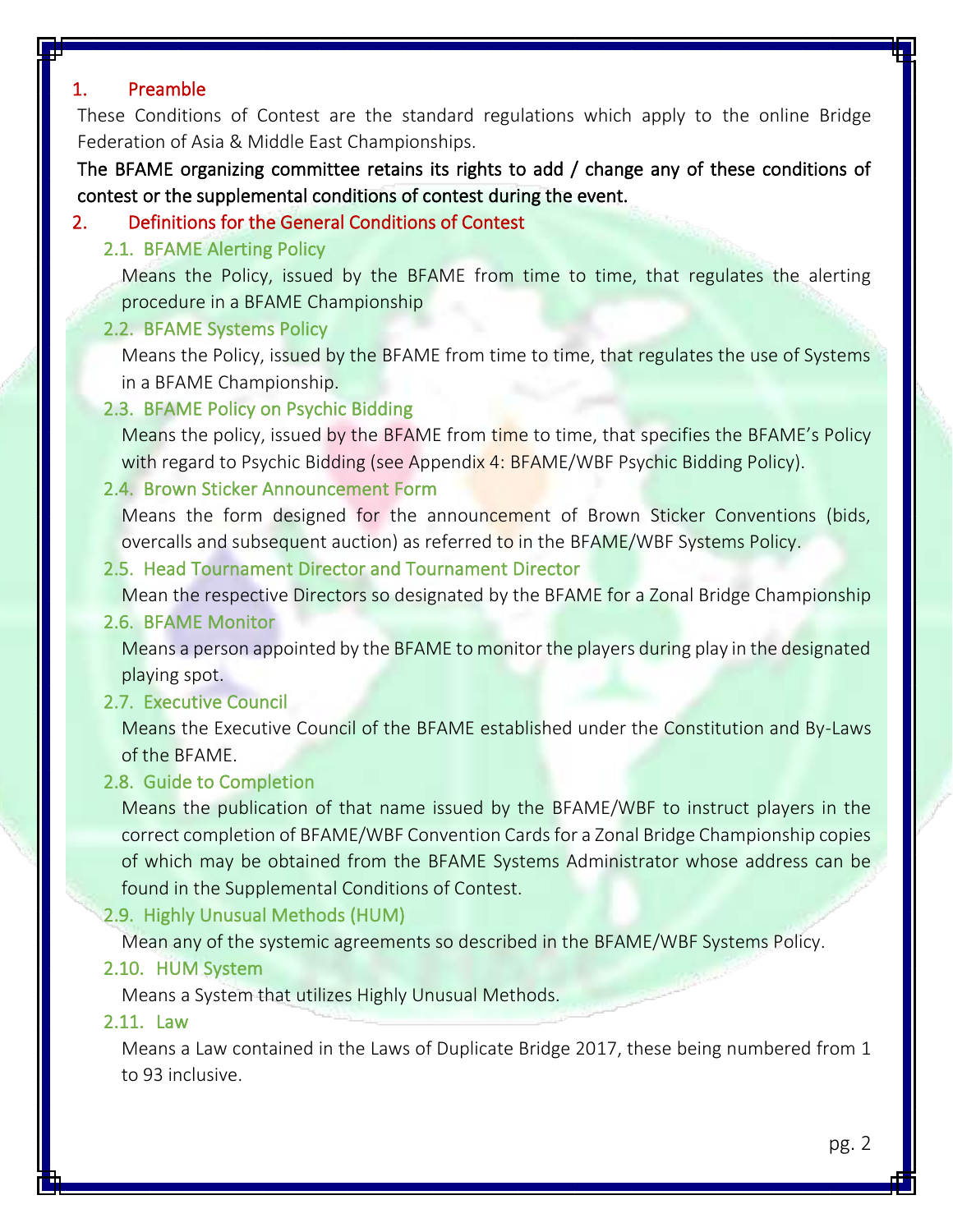# 1. Preamble

These Conditions of Contest are the standard regulations which apply to the online Bridge Federation of Asia & Middle East Championships.

The BFAME organizing committee retains its rights to add / change any of these conditions of contest or the supplemental conditions of contest during the event.

# 2. Definitions for the General Conditions of Contest

2.1. BFAME Alerting Policy

Means the Policy, issued by the BFAME from time to time, that regulates the alerting procedure in a BFAME Championship

#### 2.2. BFAME Systems Policy

Means the Policy, issued by the BFAME from time to time, that regulates the use of Systems in a BFAME Championship.

#### 2.3. BFAME Policy on Psychic Bidding

Means the policy, issued by the BFAME from time to time, that specifies the BFAME's Policy with regard to Psychic Bidding (see Appendix 4: BFAME/WBF Psychic Bidding Policy).

#### 2.4. Brown Sticker Announcement Form

Means the form designed for the announcement of Brown Sticker Conventions (bids, overcalls and subsequent auction) as referred to in the BFAME/WBF Systems Policy.

# 2.5. Head Tournament Director and Tournament Director

Mean the respective Directors so designated by the BFAME for a Zonal Bridge Championship

#### 2.6. BFAME Monitor

Means a person appointed by the BFAME to monitor the players during play in the designated playing spot.

#### 2.7. Executive Council

Means the Executive Council of the BFAME established under the Constitution and By-Laws of the BFAME.

#### 2.8. Guide to Completion

Means the publication of that name issued by the BFAME/WBF to instruct players in the correct completion of BFAME/WBF Convention Cards for a Zonal Bridge Championship copies of which may be obtained from the BFAME Systems Administrator whose address can be found in the Supplemental Conditions of Contest.

#### 2.9. Highly Unusual Methods (HUM)

Mean any of the systemic agreements so described in the BFAME/WBF Systems Policy.

#### 2.10. HUM System

Means a System that utilizes Highly Unusual Methods.

#### 2.11. Law

Means a Law contained in the Laws of Duplicate Bridge 2017, these being numbered from 1 to 93 inclusive.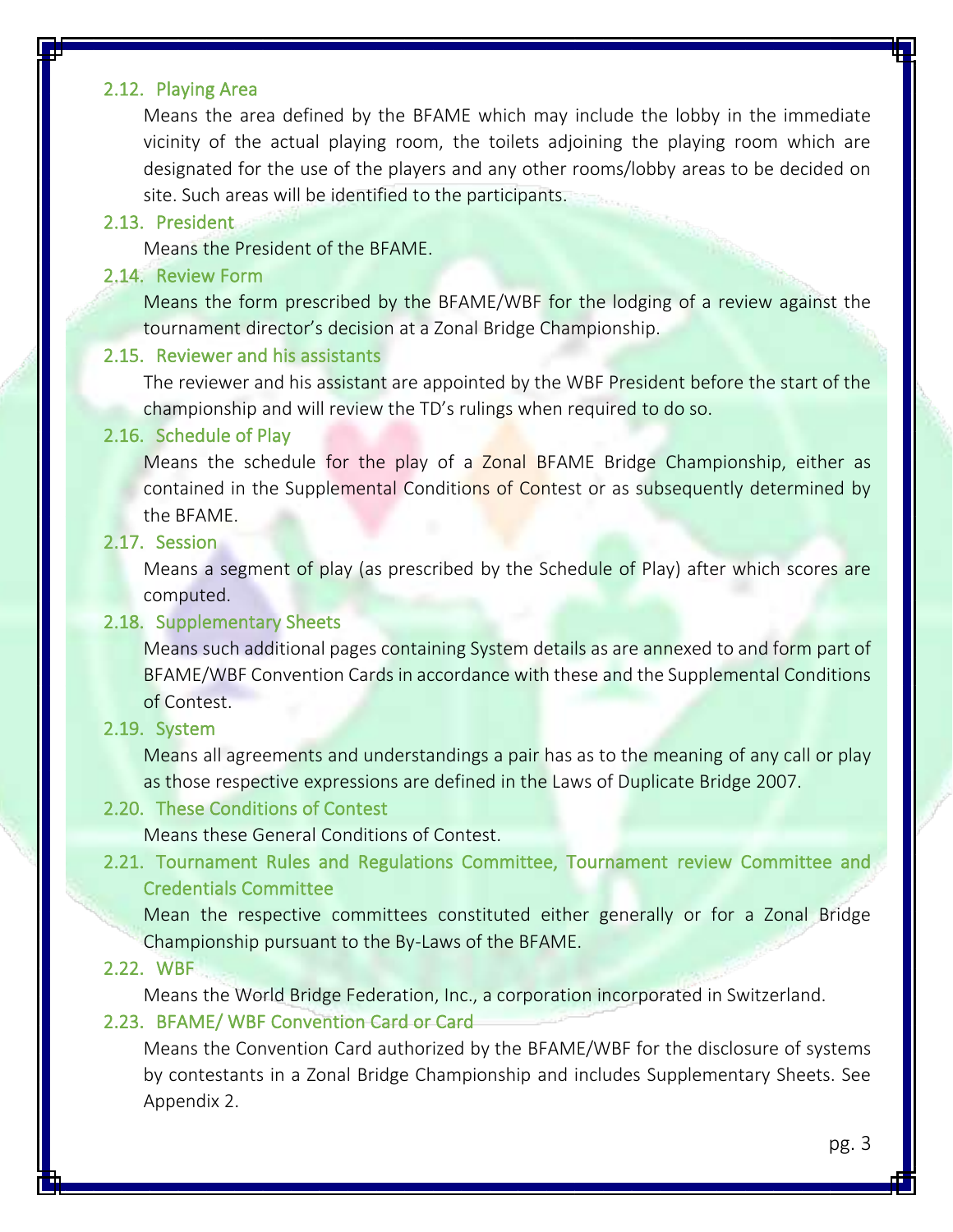#### 2.12. Playing Area

Means the area defined by the BFAME which may include the lobby in the immediate vicinity of the actual playing room, the toilets adjoining the playing room which are designated for the use of the players and any other rooms/lobby areas to be decided on site. Such areas will be identified to the participants.

#### 2.13. President

Means the President of the BFAME.

#### 2.14. Review Form

Means the form prescribed by the BFAME/WBF for the lodging of a review against the tournament director's decision at a Zonal Bridge Championship.

#### 2.15. Reviewer and his assistants

The reviewer and his assistant are appointed by the WBF President before the start of the championship and will review the TD's rulings when required to do so.

#### 2.16. Schedule of Play

Means the schedule for the play of a Zonal BFAME Bridge Championship, either as contained in the Supplemental Conditions of Contest or as subsequently determined by the BFAME.

# 2.17. Session

Means a segment of play (as prescribed by the Schedule of Play) after which scores are computed.

#### 2.18. Supplementary Sheets

Means such additional pages containing System details as are annexed to and form part of BFAME/WBF Convention Cards in accordance with these and the Supplemental Conditions of Contest.

#### 2.19. System

Means all agreements and understandings a pair has as to the meaning of any call or play as those respective expressions are defined in the Laws of Duplicate Bridge 2007.

#### 2.20. These Conditions of Contest

Means these General Conditions of Contest.

# 2.21. Tournament Rules and Regulations Committee, Tournament review Committee and Credentials Committee

Mean the respective committees constituted either generally or for a Zonal Bridge Championship pursuant to the By-Laws of the BFAME.

#### 2.22. WBF

Means the World Bridge Federation, Inc., a corporation incorporated in Switzerland.

#### 2.23. BFAME/ WBF Convention Card or Card

Means the Convention Card authorized by the BFAME/WBF for the disclosure of systems by contestants in a Zonal Bridge Championship and includes Supplementary Sheets. See Appendix 2.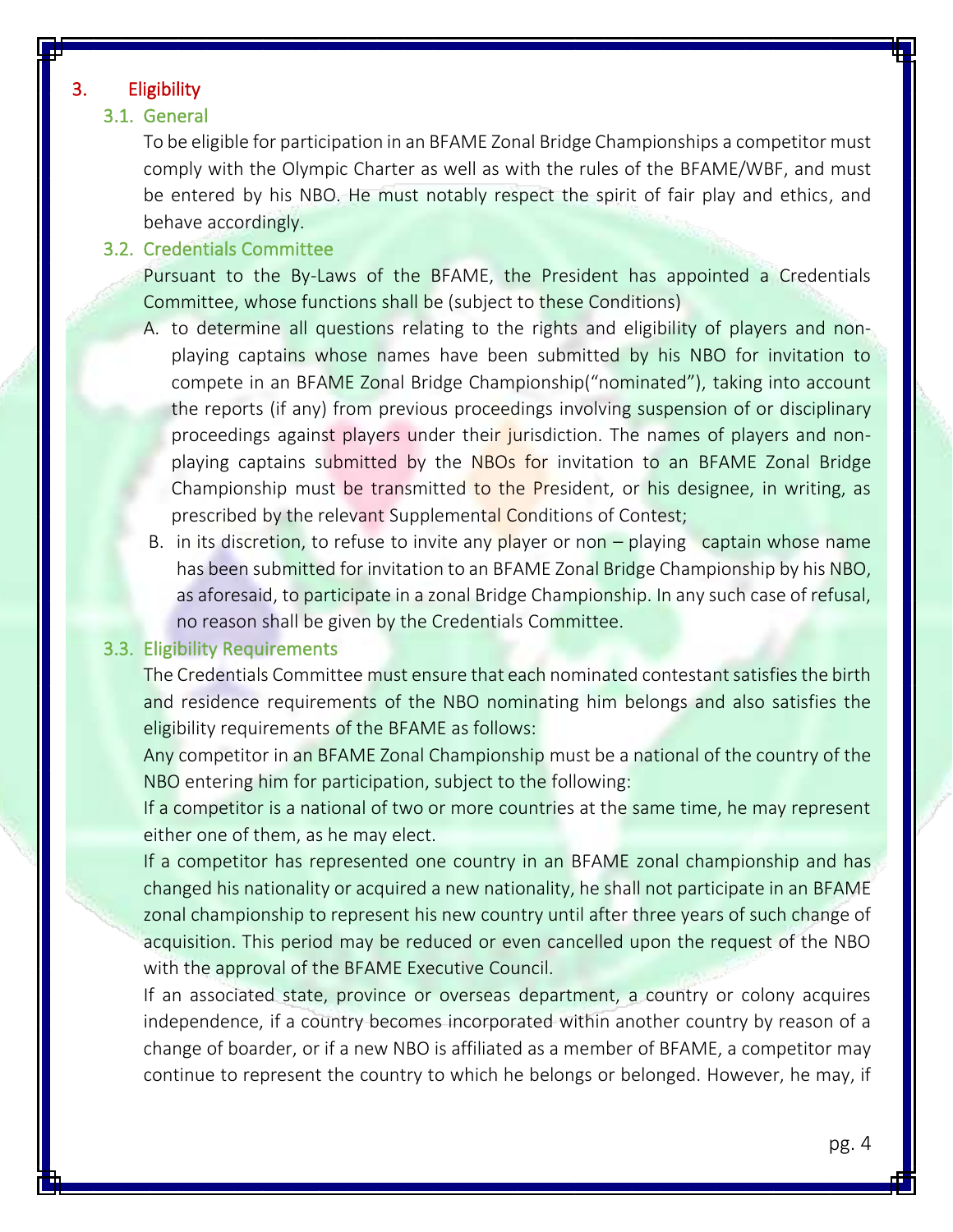# 3. Eligibility

# 3.1. General

To be eligible for participation in an BFAME Zonal Bridge Championships a competitor must comply with the Olympic Charter as well as with the rules of the BFAME/WBF, and must be entered by his NBO. He must notably respect the spirit of fair play and ethics, and behave accordingly.

#### 3.2. Credentials Committee

Pursuant to the By-Laws of the BFAME, the President has appointed a Credentials Committee, whose functions shall be (subject to these Conditions)

- A. to determine all questions relating to the rights and eligibility of players and nonplaying captains whose names have been submitted by his NBO for invitation to compete in an BFAME Zonal Bridge Championship("nominated"), taking into account the reports (if any) from previous proceedings involving suspension of or disciplinary proceedings against players under their jurisdiction. The names of players and nonplaying captains submitted by the NBOs for invitation to an BFAME Zonal Bridge Championship must be transmitted to the President, or his designee, in writing, as prescribed by the relevant Supplemental Conditions of Contest;
- B. in its discretion, to refuse to invite any player or non playing captain whose name has been submitted for invitation to an BFAME Zonal Bridge Championship by his NBO, as aforesaid, to participate in a zonal Bridge Championship. In any such case of refusal, no reason shall be given by the Credentials Committee.

#### 3.3. Eligibility Requirements

The Credentials Committee must ensure that each nominated contestant satisfies the birth and residence requirements of the NBO nominating him belongs and also satisfies the eligibility requirements of the BFAME as follows:

Any competitor in an BFAME Zonal Championship must be a national of the country of the NBO entering him for participation, subject to the following:

If a competitor is a national of two or more countries at the same time, he may represent either one of them, as he may elect.

If a competitor has represented one country in an BFAME zonal championship and has changed his nationality or acquired a new nationality, he shall not participate in an BFAME zonal championship to represent his new country until after three years of such change of acquisition. This period may be reduced or even cancelled upon the request of the NBO with the approval of the BFAME Executive Council.

If an associated state, province or overseas department, a country or colony acquires independence, if a country becomes incorporated within another country by reason of a change of boarder, or if a new NBO is affiliated as a member of BFAME, a competitor may continue to represent the country to which he belongs or belonged. However, he may, if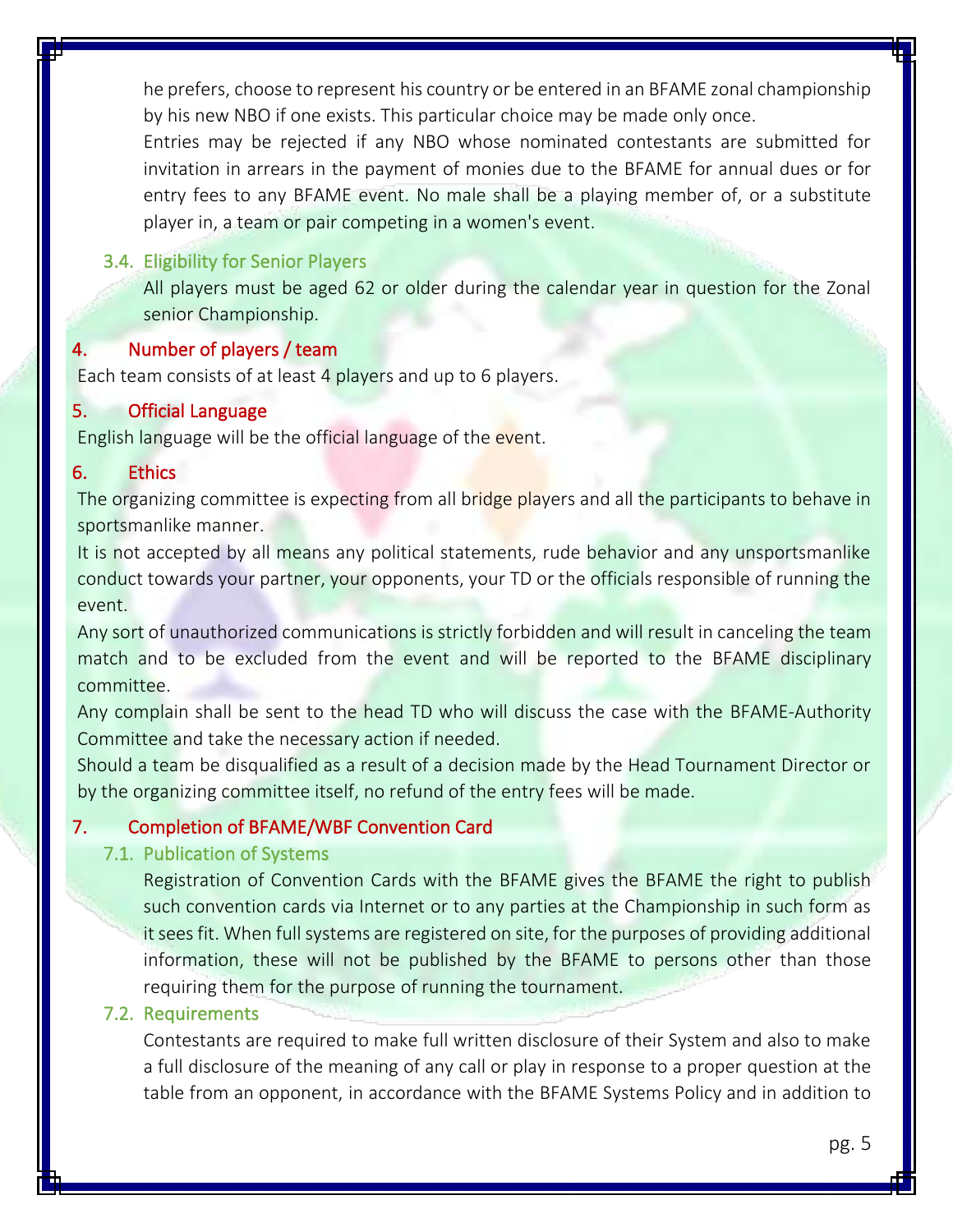he prefers, choose to represent his country or be entered in an BFAME zonal championship by his new NBO if one exists. This particular choice may be made only once.

Entries may be rejected if any NBO whose nominated contestants are submitted for invitation in arrears in the payment of monies due to the BFAME for annual dues or for entry fees to any BFAME event. No male shall be a playing member of, or a substitute player in, a team or pair competing in a women's event.

# 3.4. Eligibility for Senior Players

All players must be aged 62 or older during the calendar year in question for the Zonal senior Championship.

#### Number of players / team

Each team consists of at least 4 players and up to 6 players.

#### 5. Official Language

English language will be the official language of the event.

#### 6. Ethics

The organizing committee is expecting from all bridge players and all the participants to behave in sportsmanlike manner.

It is not accepted by all means any political statements, rude behavior and any unsportsmanlike conduct towards your partner, your opponents, your TD or the officials responsible of running the event.

Any sort of unauthorized communications is strictly forbidden and will result in canceling the team match and to be excluded from the event and will be reported to the BFAME disciplinary committee.

Any complain shall be sent to the head TD who will discuss the case with the BFAME-Authority Committee and take the necessary action if needed.

Should a team be disqualified as a result of a decision made by the Head Tournament Director or by the organizing committee itself, no refund of the entry fees will be made.

#### 7. Completion of BFAME/WBF Convention Card

#### 7.1. Publication of Systems

Registration of Convention Cards with the BFAME gives the BFAME the right to publish such convention cards via Internet or to any parties at the Championship in such form as it sees fit. When full systems are registered on site, for the purposes of providing additional information, these will not be published by the BFAME to persons other than those requiring them for the purpose of running the tournament.

# 7.2. Requirements

Contestants are required to make full written disclosure of their System and also to make a full disclosure of the meaning of any call or play in response to a proper question at the table from an opponent, in accordance with the BFAME Systems Policy and in addition to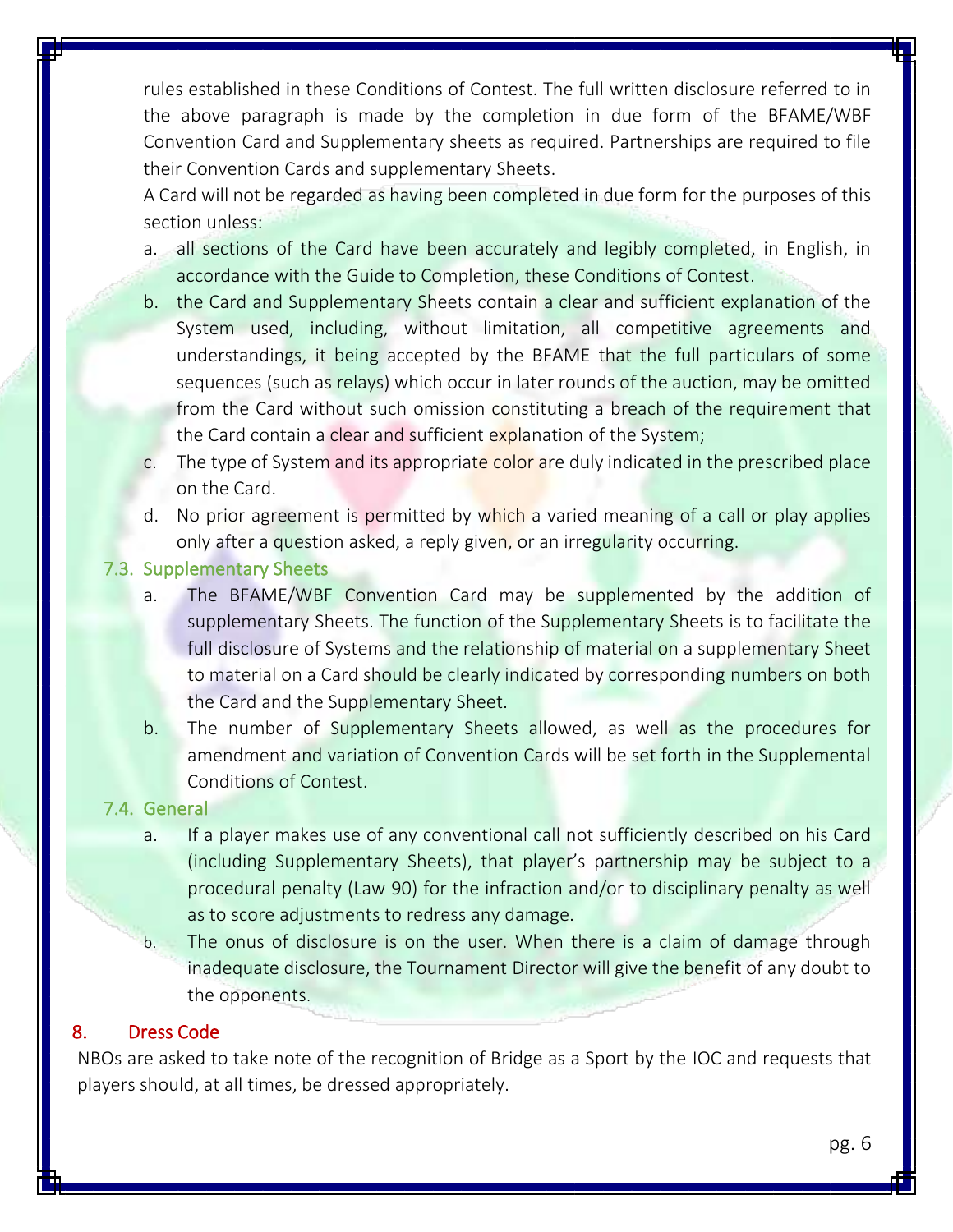rules established in these Conditions of Contest. The full written disclosure referred to in the above paragraph is made by the completion in due form of the BFAME/WBF Convention Card and Supplementary sheets as required. Partnerships are required to file their Convention Cards and supplementary Sheets.

A Card will not be regarded as having been completed in due form for the purposes of this section unless:

- a. all sections of the Card have been accurately and legibly completed, in English, in accordance with the Guide to Completion, these Conditions of Contest.
- b. the Card and Supplementary Sheets contain a clear and sufficient explanation of the System used, including, without limitation, all competitive agreements and understandings, it being accepted by the BFAME that the full particulars of some sequences (such as relays) which occur in later rounds of the auction, may be omitted from the Card without such omission constituting a breach of the requirement that the Card contain a clear and sufficient explanation of the System;
- c. The type of System and its appropriate color are duly indicated in the prescribed place on the Card.
- d. No prior agreement is permitted by which a varied meaning of a call or play applies only after a question asked, a reply given, or an irregularity occurring.

#### 7.3. Supplementary Sheets

- a. The BFAME/WBF Convention Card may be supplemented by the addition of supplementary Sheets. The function of the Supplementary Sheets is to facilitate the full disclosure of Systems and the relationship of material on a supplementary Sheet to material on a Card should be clearly indicated by corresponding numbers on both the Card and the Supplementary Sheet.
- b. The number of Supplementary Sheets allowed, as well as the procedures for amendment and variation of Convention Cards will be set forth in the Supplemental Conditions of Contest.

#### 7.4. General

- a. If a player makes use of any conventional call not sufficiently described on his Card (including Supplementary Sheets), that player's partnership may be subject to a procedural penalty (Law 90) for the infraction and/or to disciplinary penalty as well as to score adjustments to redress any damage.
- b. The onus of disclosure is on the user. When there is a claim of damage through inadequate disclosure, the Tournament Director will give the benefit of any doubt to the opponents.

#### 8. Dress Code

NBOs are asked to take note of the recognition of Bridge as a Sport by the IOC and requests that players should, at all times, be dressed appropriately.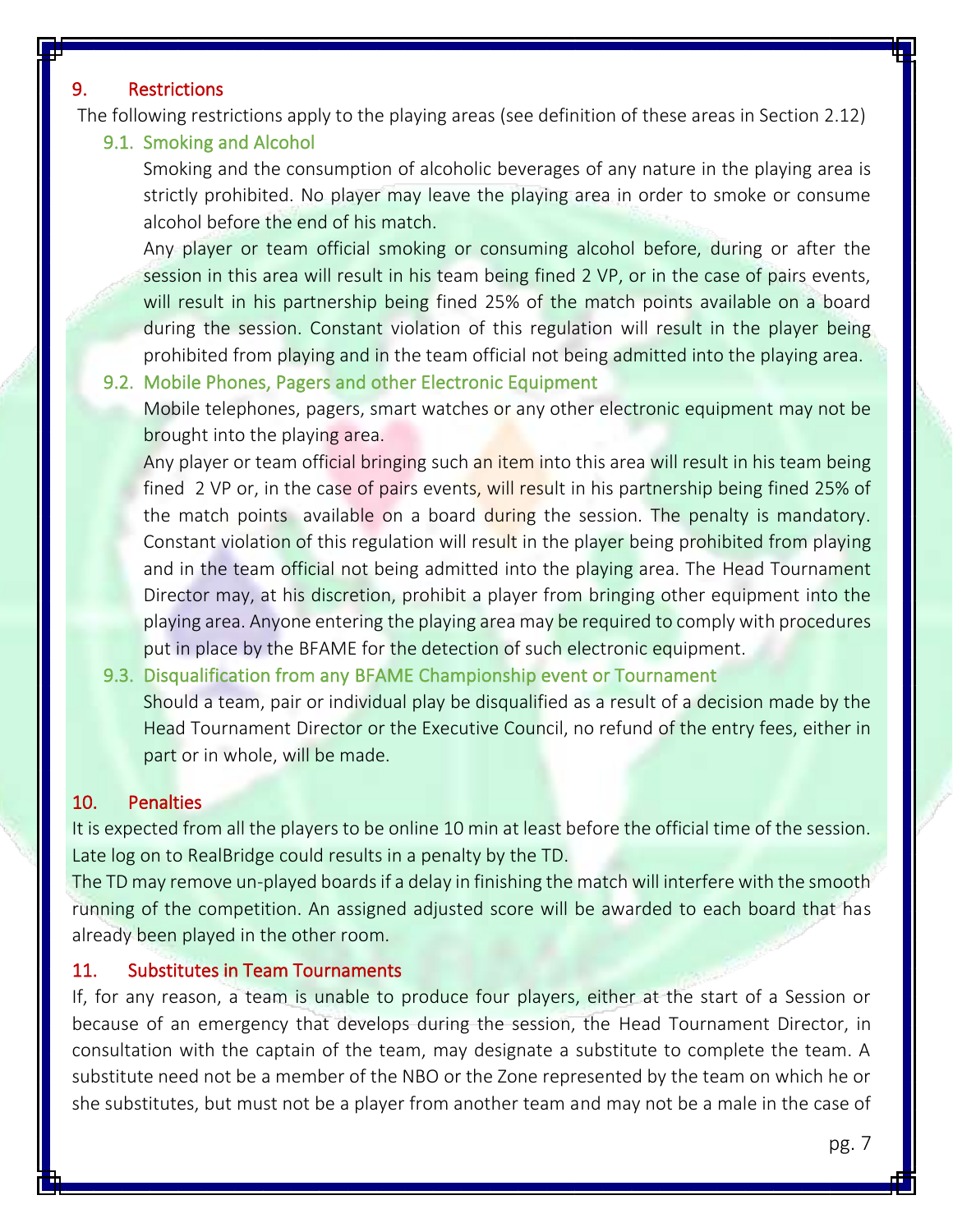#### 9. Restrictions

The following restrictions apply to the playing areas (see definition of these areas in Section 2.12)

#### 9.1. Smoking and Alcohol

Smoking and the consumption of alcoholic beverages of any nature in the playing area is strictly prohibited. No player may leave the playing area in order to smoke or consume alcohol before the end of his match.

Any player or team official smoking or consuming alcohol before, during or after the session in this area will result in his team being fined 2 VP, or in the case of pairs events, will result in his partnership being fined 25% of the match points available on a board during the session. Constant violation of this regulation will result in the player being prohibited from playing and in the team official not being admitted into the playing area.

#### 9.2. Mobile Phones, Pagers and other Electronic Equipment

Mobile telephones, pagers, smart watches or any other electronic equipment may not be brought into the playing area.

Any player or team official bringing such an item into this area will result in his team being fined 2 VP or, in the case of pairs events, will result in his partnership being fined 25% of the match points available on a board during the session. The penalty is mandatory. Constant violation of this regulation will result in the player being prohibited from playing and in the team official not being admitted into the playing area. The Head Tournament Director may, at his discretion, prohibit a player from bringing other equipment into the playing area. Anyone entering the playing area may be required to comply with procedures put in place by the BFAME for the detection of such electronic equipment.

#### 9.3. Disqualification from any BFAME Championship event or Tournament

Should a team, pair or individual play be disqualified as a result of a decision made by the Head Tournament Director or the Executive Council, no refund of the entry fees, either in part or in whole, will be made.

#### 10. Penalties

It is expected from all the players to be online 10 min at least before the official time of the session. Late log on to RealBridge could results in a penalty by the TD.

The TD may remove un-played boards if a delay in finishing the match will interfere with the smooth running of the competition. An assigned adjusted score will be awarded to each board that has already been played in the other room.

#### 11. Substitutes in Team Tournaments

If, for any reason, a team is unable to produce four players, either at the start of a Session or because of an emergency that develops during the session, the Head Tournament Director, in consultation with the captain of the team, may designate a substitute to complete the team. A substitute need not be a member of the NBO or the Zone represented by the team on which he or she substitutes, but must not be a player from another team and may not be a male in the case of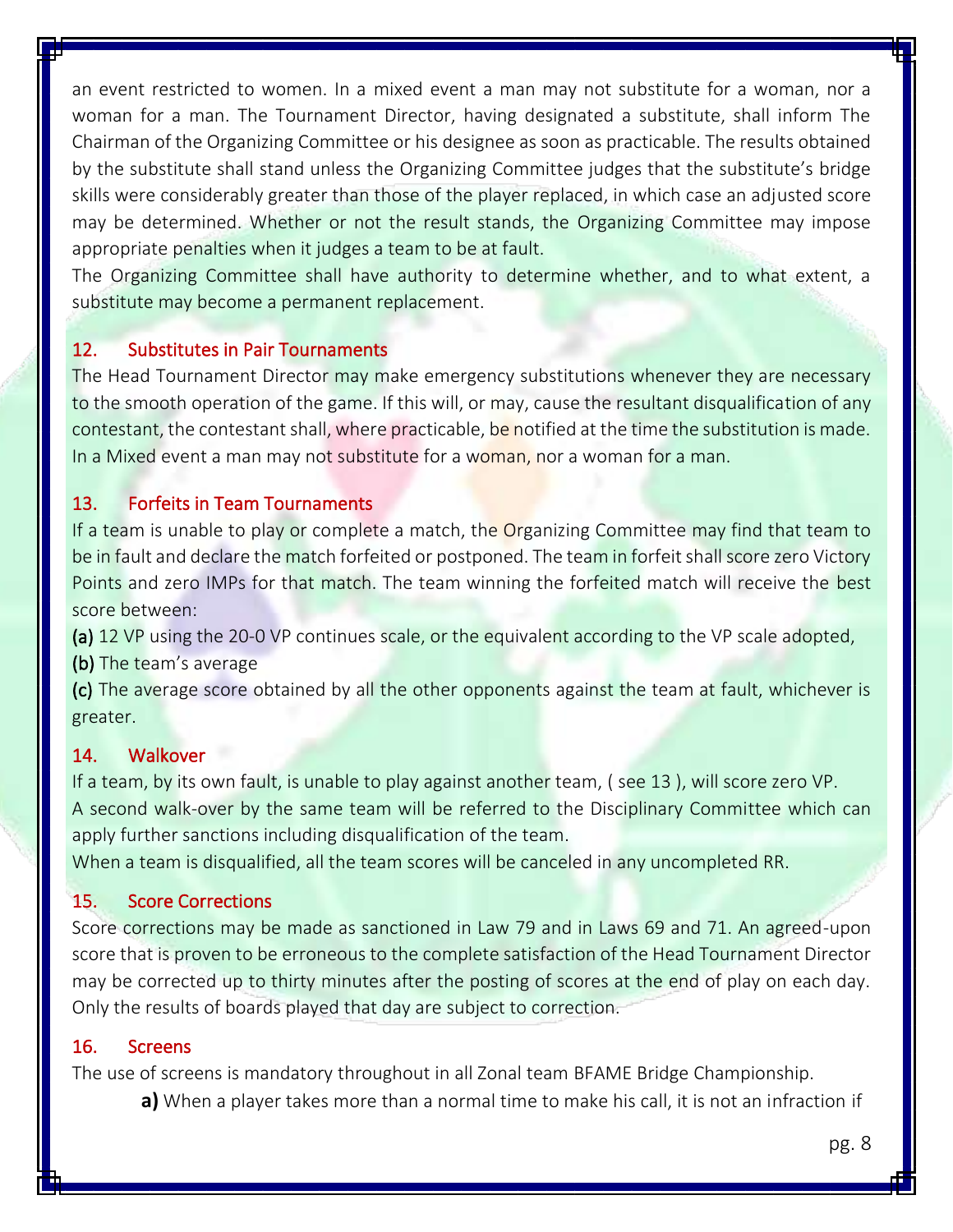an event restricted to women. In a mixed event a man may not substitute for a woman, nor a woman for a man. The Tournament Director, having designated a substitute, shall inform The Chairman of the Organizing Committee or his designee as soon as practicable. The results obtained by the substitute shall stand unless the Organizing Committee judges that the substitute's bridge skills were considerably greater than those of the player replaced, in which case an adjusted score may be determined. Whether or not the result stands, the Organizing Committee may impose appropriate penalties when it judges a team to be at fault.

The Organizing Committee shall have authority to determine whether, and to what extent, a substitute may become a permanent replacement.

# 12. Substitutes in Pair Tournaments

The Head Tournament Director may make emergency substitutions whenever they are necessary to the smooth operation of the game. If this will, or may, cause the resultant disqualification of any contestant, the contestant shall, where practicable, be notified at the time the substitution is made. In a Mixed event a man may not substitute for a woman, nor a woman for a man.

# 13. Forfeits in Team Tournaments

If a team is unable to play or complete a match, the Organizing Committee may find that team to be in fault and declare the match forfeited or postponed. The team in forfeit shall score zero Victory Points and zero IMPs for that match. The team winning the forfeited match will receive the best score between:

(a) 12 VP using the 20-0 VP continues scale, or the equivalent according to the VP scale adopted,

(b) The team's average

(c) The average score obtained by all the other opponents against the team at fault, whichever is greater.

# 14. Walkover

If a team, by its own fault, is unable to play against another team, ( see 13 ), will score zero VP. A second walk-over by the same team will be referred to the Disciplinary Committee which can apply further sanctions including disqualification of the team.

When a team is disqualified, all the team scores will be canceled in any uncompleted RR.

# 15. Score Corrections

Score corrections may be made as sanctioned in Law 79 and in Laws 69 and 71. An agreed-upon score that is proven to be erroneous to the complete satisfaction of the Head Tournament Director may be corrected up to thirty minutes after the posting of scores at the end of play on each day. Only the results of boards played that day are subject to correction.

# 16. Screens

The use of screens is mandatory throughout in all Zonal team BFAME Bridge Championship.

**a)** When a player takes more than a normal time to make his call, it is not an infraction if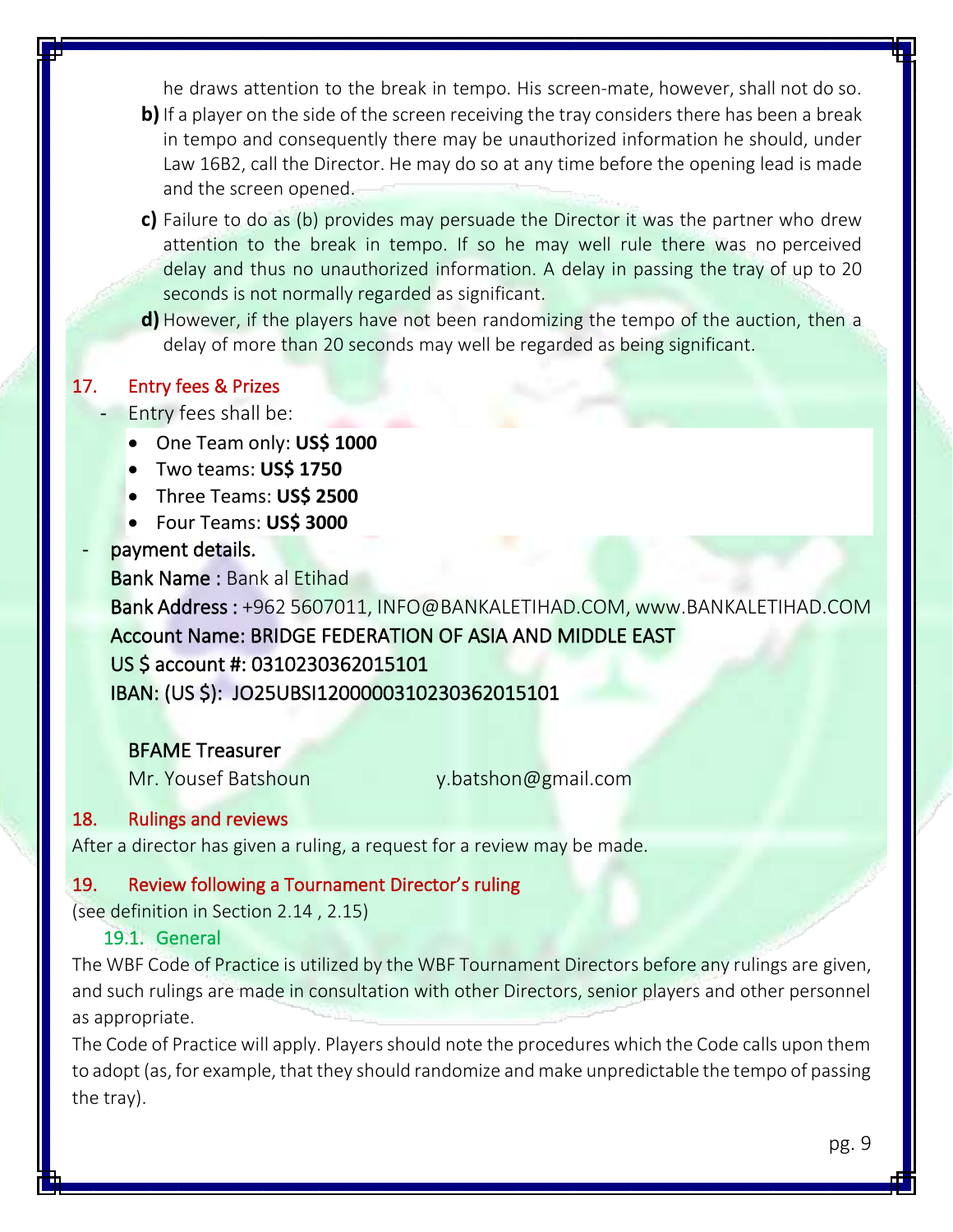he draws attention to the break in tempo. His screen-mate, however, shall not do so. **b**) If a player on the side of the screen receiving the tray considers there has been a break in tempo and consequently there may be unauthorized information he should, under Law 16B2, call the Director. He may do so at any time before the opening lead is made and the screen opened.

- **c)** Failure to do as (b) provides may persuade the Director it was the partner who drew attention to the break in tempo. If so he may well rule there was no perceived delay and thus no unauthorized information. A delay in passing the tray of up to 20 seconds is not normally regarded as significant.
- **d)** However, if the players have not been randomizing the tempo of the auction, then a delay of more than 20 seconds may well be regarded as being significant.

# 17. Entry fees & Prizes

- Entry fees shall be:
	- One Team only: **US\$ 1000**
	- Two teams: **US\$ 1750**
	- Three Teams: **US\$ 2500**
	- Four Teams: **US\$ 3000**

# payment details.

Bank Name : Bank al Etihad Bank Address : +962 5607011, INFO@BANKALETIHAD.COM, www.BANKALETIHAD.COM Account Name: BRIDGE FEDERATION OF ASIA AND MIDDLE EAST US \$ account #: 0310230362015101 IBAN: (US \$): JO25UBSI1200000310230362015101

# BFAME Treasurer

Mr. Yousef Batshoun y.batshon@gmail.com

# 18. Rulings and reviews

After a director has given a ruling, a request for a review may be made.

# 19. Review following a Tournament Director's ruling

(see definition in Section 2.14 , 2.15)

# 19.1. General

The WBF Code of Practice is utilized by the WBF Tournament Directors before any rulings are given, and such rulings are made in consultation with other Directors, senior players and other personnel as appropriate.

The Code of Practice will apply. Players should note the procedures which the Code calls upon them to adopt (as, for example, that they should randomize and make unpredictable the tempo of passing the tray).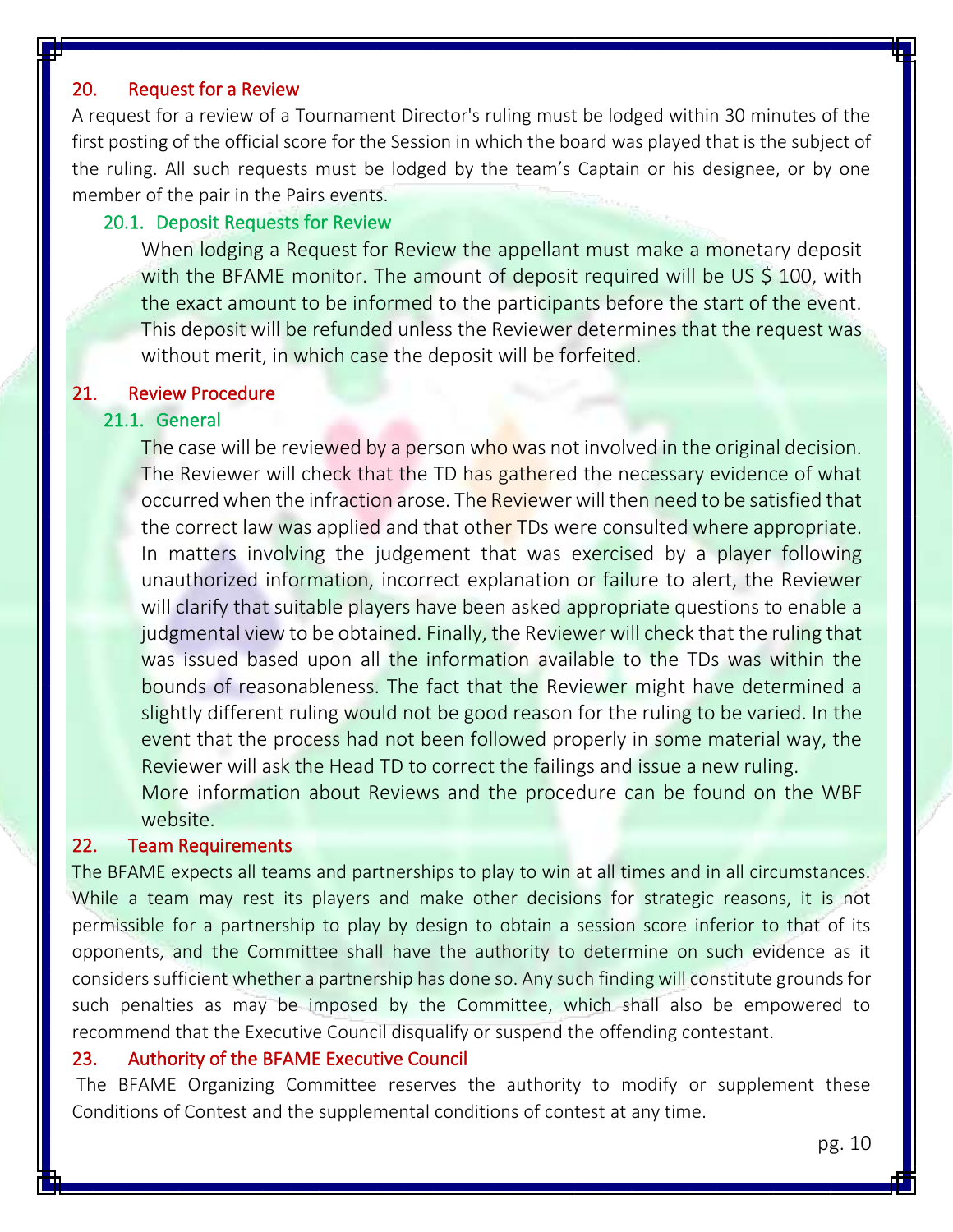# 20. Request for a Review

A request for a review of a Tournament Director's ruling must be lodged within 30 minutes of the first posting of the official score for the Session in which the board was played that is the subject of the ruling. All such requests must be lodged by the team's Captain or his designee, or by one member of the pair in the Pairs events.

#### 20.1. Deposit Requests for Review

When lodging a Request for Review the appellant must make a monetary deposit with the BFAME monitor. The amount of deposit required will be US \$ 100, with the exact amount to be informed to the participants before the start of the event. This deposit will be refunded unless the Reviewer determines that the request was without merit, in which case the deposit will be forfeited.

#### 21. Review Procedure

# 21.1. General

The case will be reviewed by a person who was not involved in the original decision. The Reviewer will check that the TD has gathered the necessary evidence of what occurred when the infraction arose. The Reviewer will then need to be satisfied that the correct law was applied and that other TDs were consulted where appropriate. In matters involving the judgement that was exercised by a player following unauthorized information, incorrect explanation or failure to alert, the Reviewer will clarify that suitable players have been asked appropriate questions to enable a judgmental view to be obtained. Finally, the Reviewer will check that the ruling that was issued based upon all the information available to the TDs was within the bounds of reasonableness. The fact that the Reviewer might have determined a slightly different ruling would not be good reason for the ruling to be varied. In the event that the process had not been followed properly in some material way, the Reviewer will ask the Head TD to correct the failings and issue a new ruling. More information about Reviews and the procedure can be found on the WBF

website.

#### 22. Team Requirements

The BFAME expects all teams and partnerships to play to win at all times and in all circumstances. While a team may rest its players and make other decisions for strategic reasons, it is not permissible for a partnership to play by design to obtain a session score inferior to that of its opponents, and the Committee shall have the authority to determine on such evidence as it considers sufficient whether a partnership has done so. Any such finding will constitute grounds for such penalties as may be imposed by the Committee, which shall also be empowered to recommend that the Executive Council disqualify or suspend the offending contestant.

#### 23. Authority of the BFAME Executive Council

The BFAME Organizing Committee reserves the authority to modify or supplement these Conditions of Contest and the supplemental conditions of contest at any time.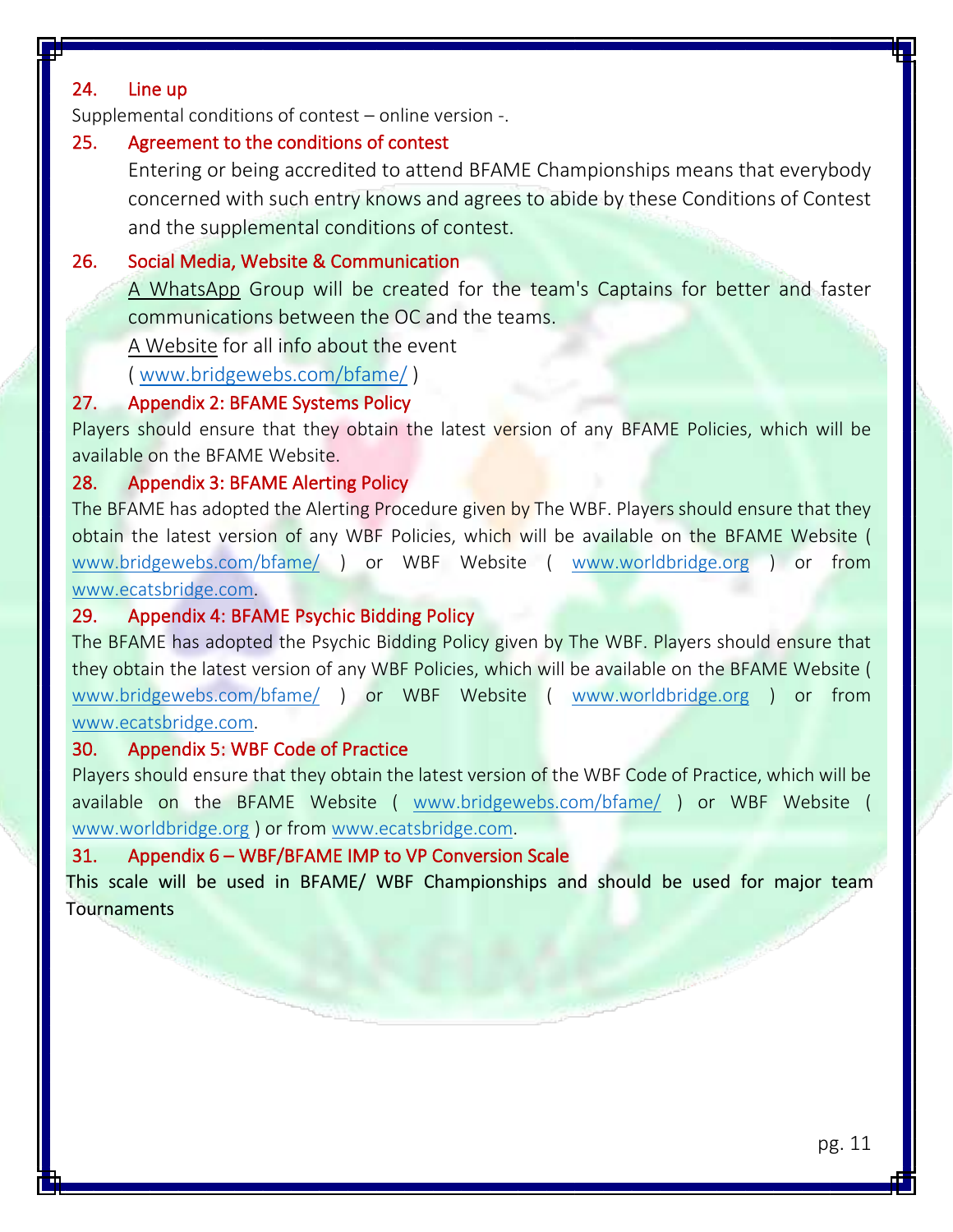# 24. Line up

Supplemental conditions of contest – online version -.

# 25. Agreement to the conditions of contest

Entering or being accredited to attend BFAME Championships means that everybody concerned with such entry knows and agrees to abide by these Conditions of Contest and the supplemental conditions of contest.

# 26. Social Media, Website & Communication

A WhatsApp Group will be created for the team's Captains for better and faster communications between the OC and the teams.

A Website for all info about the event

( [www.bridgewebs.com/bfame/](http://www.bridgewebs.com/bfame/) )

# 27. Appendix 2: BFAME Systems Policy

Players should ensure that they obtain the latest version of any BFAME Policies, which will be available on the BFAME Website.

# 28. Appendix 3: BFAME Alerting Policy

The BFAME has adopted the Alerting Procedure given by The WBF. Players should ensure that they obtain the latest version of any WBF Policies, which will be available on the BFAME Website ( [www.bridgewebs.com/bfame/](http://www.bridgewebs.com/bfame/) ) or WBF Website ( [www.worldbridge.org](http://www.worldbridge.org/) ) or from [www.ecatsbridge.com.](http://www.ecatsbridge.com/)

# 29. Appendix 4: BFAME Psychic Bidding Policy

The BFAME has adopted the Psychic Bidding Policy given by The WBF. Players should ensure that they obtain the latest version of any WBF Policies, which will be available on the BFAME Website ( [www.bridgewebs.com/bfame/](http://www.bridgewebs.com/bfame/) ) or WBF Website ( [www.worldbridge.org](http://www.worldbridge.org/) ) or from [www.ecatsbridge.com.](http://www.ecatsbridge.com/)

# 30. Appendix 5: WBF Code of Practice

Players should ensure that they obtain the latest version of the WBF Code of Practice, which will be available on the BFAME Website ( [www.bridgewebs.com/bfame/](http://www.bridgewebs.com/bfame/) ) or WBF Website ( [www.worldbridge.org](http://www.worldbridge.org/) ) or from [www.ecatsbridge.com.](http://www.ecatsbridge.com/)

# 31. Appendix 6 – WBF/BFAME IMP to VP Conversion Scale

This scale will be used in BFAME/ WBF Championships and should be used for major team **Tournaments**